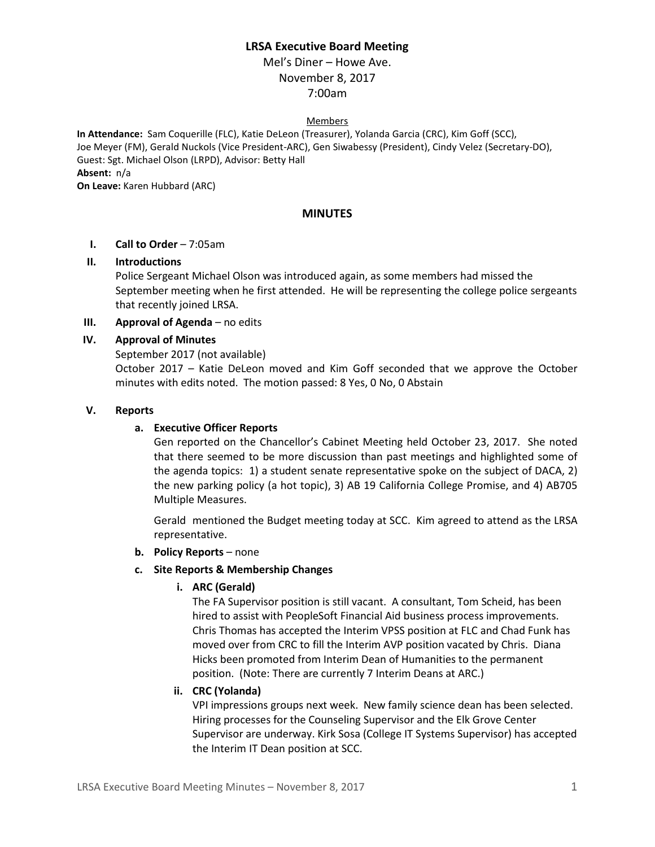# **LRSA Executive Board Meeting**

Mel's Diner – Howe Ave. November 8, 2017 7:00am

### Members

**In Attendance:** Sam Coquerille (FLC), Katie DeLeon (Treasurer), Yolanda Garcia (CRC), Kim Goff (SCC), Joe Meyer (FM), Gerald Nuckols (Vice President-ARC), Gen Siwabessy (President), Cindy Velez (Secretary-DO), Guest: Sgt. Michael Olson (LRPD), Advisor: Betty Hall **Absent:** n/a **On Leave:** Karen Hubbard (ARC)

## **MINUTES**

## **I. Call to Order** – 7:05am

#### **II. Introductions**

Police Sergeant Michael Olson was introduced again, as some members had missed the September meeting when he first attended. He will be representing the college police sergeants that recently joined LRSA.

#### **III. Approval of Agenda** – no edits

#### **IV. Approval of Minutes**

#### September 2017 (not available)

October 2017 – Katie DeLeon moved and Kim Goff seconded that we approve the October minutes with edits noted. The motion passed: 8 Yes, 0 No, 0 Abstain

#### **V. Reports**

### **a. Executive Officer Reports**

Gen reported on the Chancellor's Cabinet Meeting held October 23, 2017. She noted that there seemed to be more discussion than past meetings and highlighted some of the agenda topics: 1) a student senate representative spoke on the subject of DACA, 2) the new parking policy (a hot topic), 3) AB 19 California College Promise, and 4) AB705 Multiple Measures.

Gerald mentioned the Budget meeting today at SCC. Kim agreed to attend as the LRSA representative.

### **b. Policy Reports** – none

#### **c. Site Reports & Membership Changes**

**i. ARC (Gerald)**

The FA Supervisor position is still vacant. A consultant, Tom Scheid, has been hired to assist with PeopleSoft Financial Aid business process improvements. Chris Thomas has accepted the Interim VPSS position at FLC and Chad Funk has moved over from CRC to fill the Interim AVP position vacated by Chris. Diana Hicks been promoted from Interim Dean of Humanities to the permanent position. (Note: There are currently 7 Interim Deans at ARC.)

## **ii. CRC (Yolanda)**

VPI impressions groups next week. New family science dean has been selected. Hiring processes for the Counseling Supervisor and the Elk Grove Center Supervisor are underway. Kirk Sosa (College IT Systems Supervisor) has accepted the Interim IT Dean position at SCC.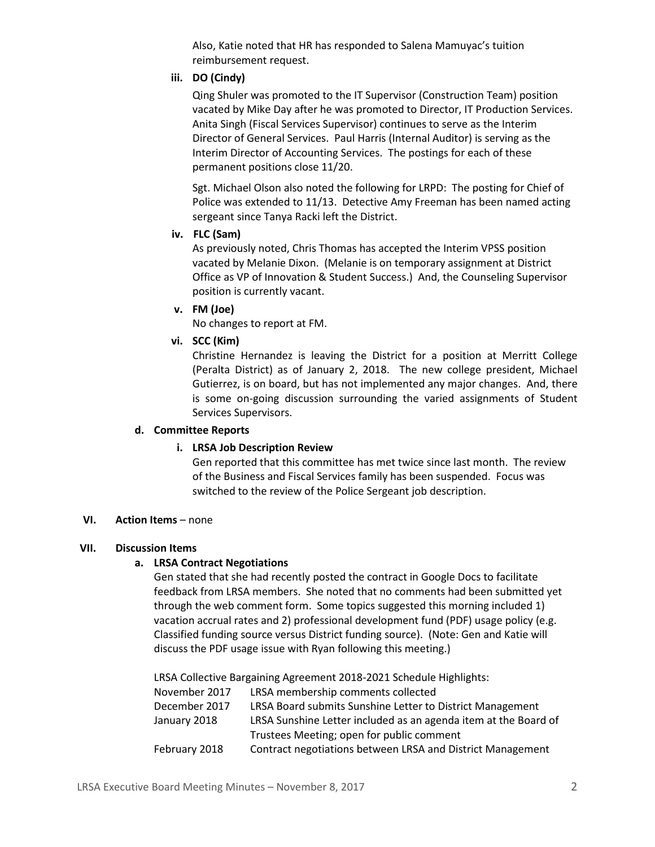Also, Katie noted that HR has responded to Salena Mamuyac's tuition reimbursement request.

## **iii. DO (Cindy)**

Qing Shuler was promoted to the IT Supervisor (Construction Team) position vacated by Mike Day after he was promoted to Director, IT Production Services. Anita Singh (Fiscal Services Supervisor) continues to serve as the Interim Director of General Services. Paul Harris (Internal Auditor) is serving as the Interim Director of Accounting Services. The postings for each of these permanent positions close 11/20.

Sgt. Michael Olson also noted the following for LRPD: The posting for Chief of Police was extended to 11/13. Detective Amy Freeman has been named acting sergeant since Tanya Racki left the District.

#### **iv. FLC (Sam)**

As previously noted, Chris Thomas has accepted the Interim VPSS position vacated by Melanie Dixon. (Melanie is on temporary assignment at District Office as VP of Innovation & Student Success.) And, the Counseling Supervisor position is currently vacant.

#### **v. FM (Joe)**

No changes to report at FM.

## **vi. SCC (Kim)**

Christine Hernandez is leaving the District for a position at Merritt College (Peralta District) as of January 2, 2018. The new college president, Michael Gutierrez, is on board, but has not implemented any major changes. And, there is some on-going discussion surrounding the varied assignments of Student Services Supervisors.

#### **d. Committee Reports**

## **i. LRSA Job Description Review**

Gen reported that this committee has met twice since last month. The review of the Business and Fiscal Services family has been suspended. Focus was switched to the review of the Police Sergeant job description.

#### **VI. Action Items** – none

## **VII. Discussion Items**

## **a. LRSA Contract Negotiations**

Gen stated that she had recently posted the contract in Google Docs to facilitate feedback from LRSA members. She noted that no comments had been submitted yet through the web comment form. Some topics suggested this morning included 1) vacation accrual rates and 2) professional development fund (PDF) usage policy (e.g. Classified funding source versus District funding source). (Note: Gen and Katie will discuss the PDF usage issue with Ryan following this meeting.)

LRSA Collective Bargaining Agreement 2018-2021 Schedule Highlights:

| November 2017 | LRSA membership comments collected                              |
|---------------|-----------------------------------------------------------------|
| December 2017 | LRSA Board submits Sunshine Letter to District Management       |
| January 2018  | LRSA Sunshine Letter included as an agenda item at the Board of |
|               | Trustees Meeting; open for public comment                       |
| February 2018 | Contract negotiations between LRSA and District Management      |